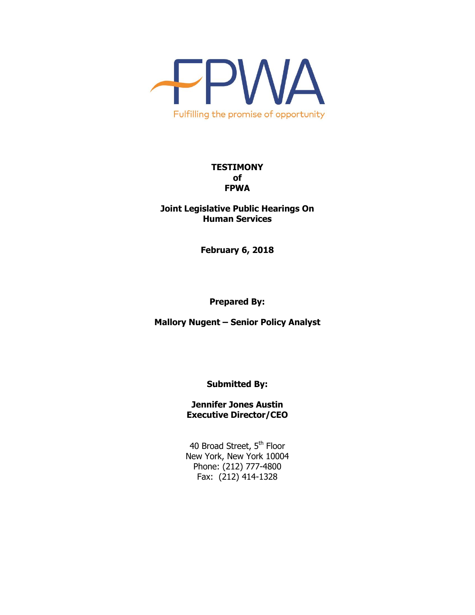

## **TESTIMONY of FPWA**

**Joint Legislative Public Hearings On Human Services**

**February 6, 2018**

**Prepared By:**

**Mallory Nugent – Senior Policy Analyst**

**Submitted By:**

**Jennifer Jones Austin Executive Director/CEO**

40 Broad Street, 5<sup>th</sup> Floor New York, New York 10004 Phone: (212) 777-4800 Fax: (212) 414-1328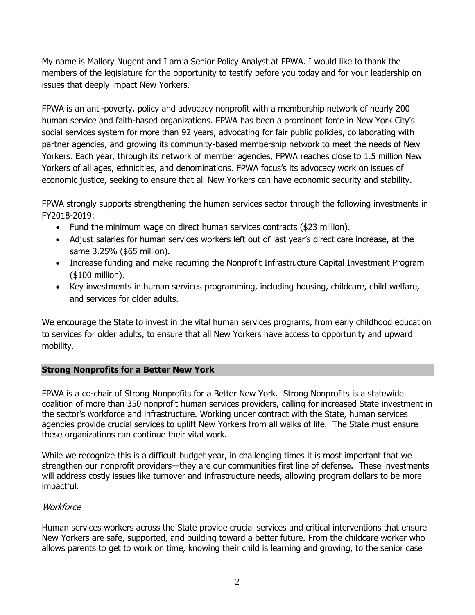My name is Mallory Nugent and I am a Senior Policy Analyst at FPWA. I would like to thank the members of the legislature for the opportunity to testify before you today and for your leadership on issues that deeply impact New Yorkers.

FPWA is an anti-poverty, policy and advocacy nonprofit with a membership network of nearly 200 human service and faith-based organizations. FPWA has been a prominent force in New York City's social services system for more than 92 years, advocating for fair public policies, collaborating with partner agencies, and growing its community-based membership network to meet the needs of New Yorkers. Each year, through its network of member agencies, FPWA reaches close to 1.5 million New Yorkers of all ages, ethnicities, and denominations. FPWA focus's its advocacy work on issues of economic justice, seeking to ensure that all New Yorkers can have economic security and stability.

FPWA strongly supports strengthening the human services sector through the following investments in FY2018-2019:

- Fund the minimum wage on direct human services contracts (\$23 million).
- Adjust salaries for human services workers left out of last year's direct care increase, at the same 3.25% (\$65 million).
- Increase funding and make recurring the Nonprofit Infrastructure Capital Investment Program (\$100 million).
- Key investments in human services programming, including housing, childcare, child welfare, and services for older adults.

We encourage the State to invest in the vital human services programs, from early childhood education to services for older adults, to ensure that all New Yorkers have access to opportunity and upward mobility.

# **Strong Nonprofits for a Better New York**

FPWA is a co-chair of Strong Nonprofits for a Better New York. Strong Nonprofits is a statewide coalition of more than 350 nonprofit human services providers, calling for increased State investment in the sector's workforce and infrastructure. Working under contract with the State, human services agencies provide crucial services to uplift New Yorkers from all walks of life. The State must ensure these organizations can continue their vital work.

While we recognize this is a difficult budget year, in challenging times it is most important that we strengthen our nonprofit providers—they are our communities first line of defense. These investments will address costly issues like turnover and infrastructure needs, allowing program dollars to be more impactful.

# **Workforce**

Human services workers across the State provide crucial services and critical interventions that ensure New Yorkers are safe, supported, and building toward a better future. From the childcare worker who allows parents to get to work on time, knowing their child is learning and growing, to the senior case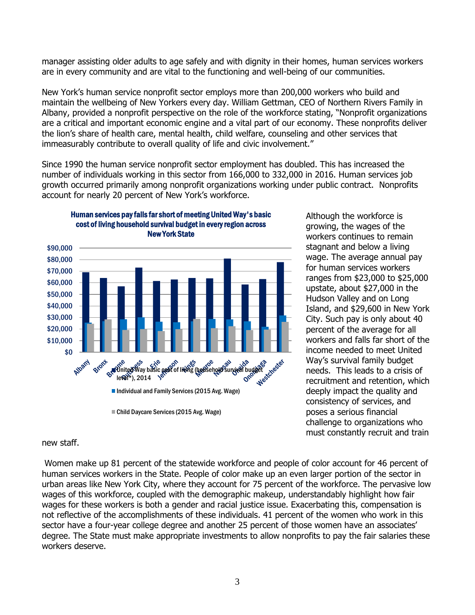manager assisting older adults to age safely and with dignity in their homes, human services workers are in every community and are vital to the functioning and well-being of our communities.

New York's human service nonprofit sector employs more than 200,000 workers who build and maintain the wellbeing of New Yorkers every day. William Gettman, CEO of Northern Rivers Family in Albany, provided a nonprofit perspective on the role of the workforce stating, "Nonprofit organizations are a critical and important economic engine and a vital part of our economy. These nonprofits deliver the lion's share of health care, mental health, child welfare, counseling and other services that immeasurably contribute to overall quality of life and civic involvement."

Since 1990 the human service nonprofit sector employment has doubled. This has increased the number of individuals working in this sector from 166,000 to 332,000 in 2016. Human services job growth occurred primarily among nonprofit organizations working under public contract. Nonprofits account for nearly 20 percent of New York's workforce.



Although the workforce is growing, the wages of the workers continues to remain stagnant and below a living wage. The average annual pay for human services workers ranges from \$23,000 to \$25,000 upstate, about \$27,000 in the Hudson Valley and on Long Island, and \$29,600 in New York City. Such pay is only about 40 percent of the average for all workers and falls far short of the income needed to meet United Way's survival family budget needs. This leads to a crisis of recruitment and retention, which deeply impact the quality and consistency of services, and poses a serious financial challenge to organizations who must constantly recruit and train

### new staff.

Women make up 81 percent of the statewide workforce and people of color account for 46 percent of human services workers in the State. People of color make up an even larger portion of the sector in urban areas like New York City, where they account for 75 percent of the workforce. The pervasive low wages of this workforce, coupled with the demographic makeup, understandably highlight how fair wages for these workers is both a gender and racial justice issue. Exacerbating this, compensation is not reflective of the accomplishments of these individuals. 41 percent of the women who work in this sector have a four-year college degree and another 25 percent of those women have an associates' degree. The State must make appropriate investments to allow nonprofits to pay the fair salaries these workers deserve.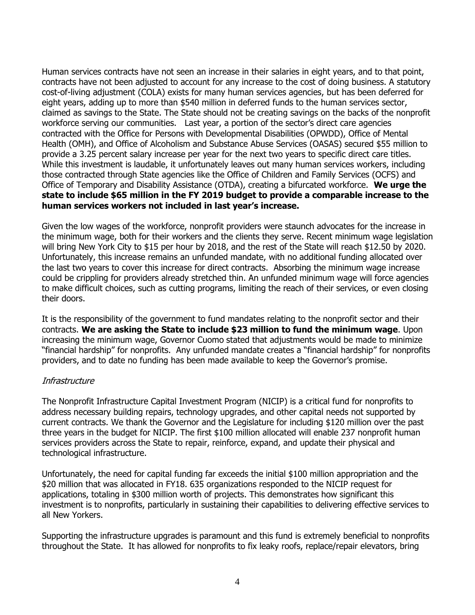Human services contracts have not seen an increase in their salaries in eight years, and to that point, contracts have not been adjusted to account for any increase to the cost of doing business. A statutory cost-of-living adjustment (COLA) exists for many human services agencies, but has been deferred for eight years, adding up to more than \$540 million in deferred funds to the human services sector, claimed as savings to the State. The State should not be creating savings on the backs of the nonprofit workforce serving our communities. Last year, a portion of the sector's direct care agencies contracted with the Office for Persons with Developmental Disabilities (OPWDD), Office of Mental Health (OMH), and Office of Alcoholism and Substance Abuse Services (OASAS) secured \$55 million to provide a 3.25 percent salary increase per year for the next two years to specific direct care titles. While this investment is laudable, it unfortunately leaves out many human services workers, including those contracted through State agencies like the Office of Children and Family Services (OCFS) and Office of Temporary and Disability Assistance (OTDA), creating a bifurcated workforce. **We urge the state to include \$65 million in the FY 2019 budget to provide a comparable increase to the human services workers not included in last year's increase.**

Given the low wages of the workforce, nonprofit providers were staunch advocates for the increase in the minimum wage, both for their workers and the clients they serve. Recent minimum wage legislation will bring New York City to \$15 per hour by 2018, and the rest of the State will reach \$12.50 by 2020. Unfortunately, this increase remains an unfunded mandate, with no additional funding allocated over the last two years to cover this increase for direct contracts. Absorbing the minimum wage increase could be crippling for providers already stretched thin. An unfunded minimum wage will force agencies to make difficult choices, such as cutting programs, limiting the reach of their services, or even closing their doors.

It is the responsibility of the government to fund mandates relating to the nonprofit sector and their contracts. **We are asking the State to include \$23 million to fund the minimum wage**. Upon increasing the minimum wage, Governor Cuomo stated that adjustments would be made to minimize "financial hardship" for nonprofits. Any unfunded mandate creates a "financial hardship" for nonprofits providers, and to date no funding has been made available to keep the Governor's promise.

# **Infrastructure**

The Nonprofit Infrastructure Capital Investment Program (NICIP) is a critical fund for nonprofits to address necessary building repairs, technology upgrades, and other capital needs not supported by current contracts. We thank the Governor and the Legislature for including \$120 million over the past three years in the budget for NICIP. The first \$100 million allocated will enable 237 nonprofit human services providers across the State to repair, reinforce, expand, and update their physical and technological infrastructure.

Unfortunately, the need for capital funding far exceeds the initial \$100 million appropriation and the \$20 million that was allocated in FY18. 635 organizations responded to the NICIP request for applications, totaling in \$300 million worth of projects. This demonstrates how significant this investment is to nonprofits, particularly in sustaining their capabilities to delivering effective services to all New Yorkers.

Supporting the infrastructure upgrades is paramount and this fund is extremely beneficial to nonprofits throughout the State. It has allowed for nonprofits to fix leaky roofs, replace/repair elevators, bring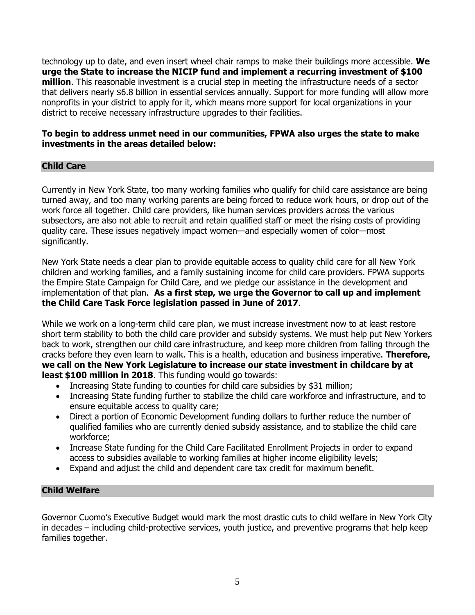technology up to date, and even insert wheel chair ramps to make their buildings more accessible. **We urge the State to increase the NICIP fund and implement a recurring investment of \$100 million**. This reasonable investment is a crucial step in meeting the infrastructure needs of a sector that delivers nearly \$6.8 billion in essential services annually. Support for more funding will allow more nonprofits in your district to apply for it, which means more support for local organizations in your district to receive necessary infrastructure upgrades to their facilities.

## **To begin to address unmet need in our communities, FPWA also urges the state to make investments in the areas detailed below:**

# **Child Care**

Currently in New York State, too many working families who qualify for child care assistance are being turned away, and too many working parents are being forced to reduce work hours, or drop out of the work force all together. Child care providers, like human services providers across the various subsectors, are also not able to recruit and retain qualified staff or meet the rising costs of providing quality care. These issues negatively impact women—and especially women of color—most significantly.

New York State needs a clear plan to provide equitable access to quality child care for all New York children and working families, and a family sustaining income for child care providers. FPWA supports the Empire State Campaign for Child Care, and we pledge our assistance in the development and implementation of that plan. **As a first step, we urge the Governor to call up and implement the Child Care Task Force legislation passed in June of 2017**.

While we work on a long-term child care plan, we must increase investment now to at least restore short term stability to both the child care provider and subsidy systems. We must help put New Yorkers back to work, strengthen our child care infrastructure, and keep more children from falling through the cracks before they even learn to walk. This is a health, education and business imperative. **Therefore, we call on the New York Legislature to increase our state investment in childcare by at least \$100 million in 2018**. This funding would go towards:

- Increasing State funding to counties for child care subsidies by \$31 million;
- Increasing State funding further to stabilize the child care workforce and infrastructure, and to ensure equitable access to quality care;
- Direct a portion of Economic Development funding dollars to further reduce the number of qualified families who are currently denied subsidy assistance, and to stabilize the child care workforce;
- Increase State funding for the Child Care Facilitated Enrollment Projects in order to expand access to subsidies available to working families at higher income eligibility levels;
- Expand and adjust the child and dependent care tax credit for maximum benefit.

# **Child Welfare**

Governor Cuomo's Executive Budget would mark the most drastic cuts to child welfare in New York City in decades – including child-protective services, youth justice, and preventive programs that help keep families together.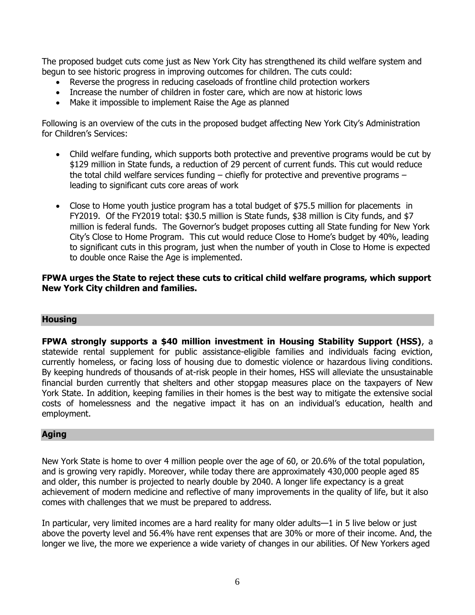The proposed budget cuts come just as New York City has strengthened its child welfare system and begun to see historic progress in improving outcomes for children. The cuts could:

- Reverse the progress in reducing caseloads of frontline child protection workers
- Increase the number of children in foster care, which are now at historic lows
- Make it impossible to implement Raise the Age as planned

Following is an overview of the cuts in the proposed budget affecting New York City's Administration for Children's Services:

- Child welfare funding, which supports both protective and preventive programs would be cut by \$129 million in State funds, a reduction of 29 percent of current funds. This cut would reduce the total child welfare services funding – chiefly for protective and preventive programs – leading to significant cuts core areas of work
- Close to Home youth justice program has a total budget of \$75.5 million for placements in FY2019. Of the FY2019 total: \$30.5 million is State funds, \$38 million is City funds, and \$7 million is federal funds. The Governor's budget proposes cutting all State funding for New York City's Close to Home Program. This cut would reduce Close to Home's budget by 40%, leading to significant cuts in this program, just when the number of youth in Close to Home is expected to double once Raise the Age is implemented.

### **FPWA urges the State to reject these cuts to critical child welfare programs, which support New York City children and families.**

### **Housing**

**FPWA strongly supports a \$40 million investment in Housing Stability Support (HSS)**, a statewide rental supplement for public assistance-eligible families and individuals facing eviction, currently homeless, or facing loss of housing due to domestic violence or hazardous living conditions. By keeping hundreds of thousands of at-risk people in their homes, HSS will alleviate the unsustainable financial burden currently that shelters and other stopgap measures place on the taxpayers of New York State. In addition, keeping families in their homes is the best way to mitigate the extensive social costs of homelessness and the negative impact it has on an individual's education, health and employment.

### **Aging**

New York State is home to over 4 million people over the age of 60, or 20.6% of the total population, and is growing very rapidly. Moreover, while today there are approximately 430,000 people aged 85 and older, this number is projected to nearly double by 2040. A longer life expectancy is a great achievement of modern medicine and reflective of many improvements in the quality of life, but it also comes with challenges that we must be prepared to address.

In particular, very limited incomes are a hard reality for many older adults—1 in 5 live below or just above the poverty level and 56.4% have rent expenses that are 30% or more of their income. And, the longer we live, the more we experience a wide variety of changes in our abilities. Of New Yorkers aged